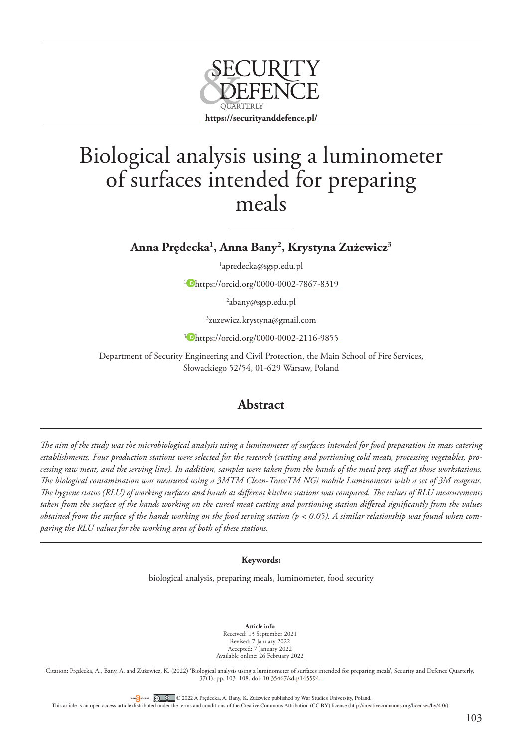

# Biological analysis using a luminometer of surfaces intended for preparing meals

**Anna Pre˛decka1 , Anna Bany2 , Krystyna Zużewicz3**

1 apredecka@sgsp.edu.pl

<sup>1</sup> <https://orcid.org/0000-0002-7867-8319>

2 abany@sgsp.edu.pl

3 zuzewicz.krystyna@gmail.com

<sup>3</sup> <https://orcid.org/0000-0002-2116-9855>

Department of Security Engineering and Civil Protection, the Main School of Fire Services, Słowackiego 52/54, 01-629 Warsaw, Poland

# **Abstract**

*The aim of the study was the microbiological analysis using a luminometer of surfaces intended for food preparation in mass catering establishments. Four production stations were selected for the research (cutting and portioning cold meats, processing vegetables, processing raw meat, and the serving line). In addition, samples were taken from the hands of the meal prep staff at those workstations. The biological contamination was measured using a 3MTM Clean-TraceTM NGi mobile Luminometer with a set of 3M reagents. The hygiene status (RLU) of working surfaces and hands at different kitchen stations was compared. The values of RLU measurements taken from the surface of the hands working on the cured meat cutting and portioning station differed significantly from the values obtained from the surface of the hands working on the food serving station (p < 0.05). A similar relationship was found when comparing the RLU values for the working area of both of these stations.*

### **Keywords:**

biological analysis, preparing meals, luminometer, food security

**Article info** Received: 13 September 2021 Revised: 7 January 2022 Accepted: 7 January 2022 Available online: 26 February 2022

Citation: Prędecka, A., Bany, A. and Zużewicz, K. (2022) 'Biological analysis using a luminometer of surfaces intended for preparing meals', Security and Defence Quarterly, 37(1), pp. 103–108. doi: [10.35467/sdq/145594](http://doi.org/10.35467/sdq/145594).

ORENGACCESS CO CO2022 A Prędecka, A. Bany, K. Zużewicz published by War Studies University, Poland.

This article is an open access article distributed under the terms and conditions of the Creative Commons Attribution (CC BY) license [\(http://creativecommons.org/licenses/by/4.0/](http://creativecommons.org/licenses/by/4.0/)).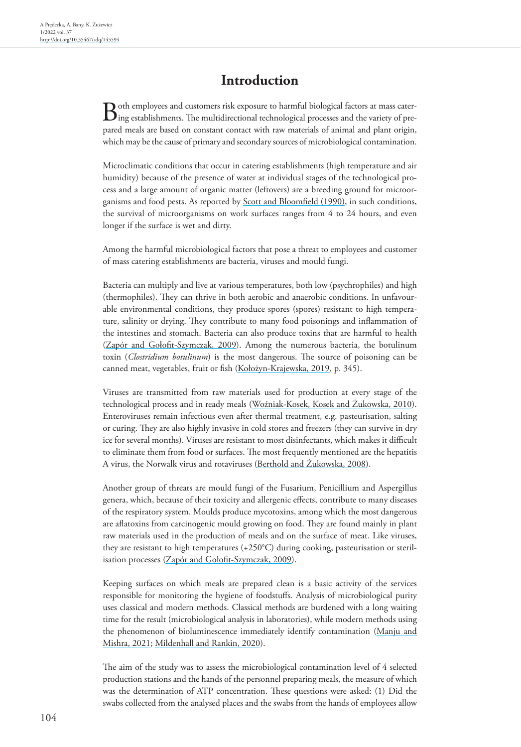# **Introduction**

 $B$  oth employees and customers risk exposure to harmful biological factors at mass cater-<br>ing establishments. The multidirectional technological processes and the variety of prepared meals are based on constant contact with raw materials of animal and plant origin, which may be the cause of primary and secondary sources of microbiological contamination.

Microclimatic conditions that occur in catering establishments (high temperature and air humidity) because of the presence of water at individual stages of the technological process and a large amount of organic matter (leftovers) are a breeding ground for microorganisms and food pests. As reported by **Scott and Bloomfield** (1990), in such conditions, the survival of microorganisms on work surfaces ranges from 4 to 24 hours, and even longer if the surface is wet and dirty.

Among the harmful microbiological factors that pose a threat to employees and customer of mass catering establishments are bacteria, viruses and mould fungi.

Bacteria can multiply and live at various temperatures, both low (psychrophiles) and high (thermophiles). They can thrive in both aerobic and anaerobic conditions. In unfavourable environmental conditions, they produce spores (spores) resistant to high temperature, salinity or drying. They contribute to many food poisonings and inflammation of the intestines and stomach. Bacteria can also produce toxins that are harmful to health [\(Zapór and Gołofit-Szymczak, 2009](#page-5-1)). Among the numerous bacteria, the botulinum toxin (*Clostridium botulinum*) is the most dangerous. The source of poisoning can be canned meat, vegetables, fruit or fish (Kołożyn-Krajewska, 2019, p. 345).

Viruses are transmitted from raw materials used for production at every stage of the technological process and in ready meals [\(Woźniak-Kosek, Kosek and Żukowska, 2010](#page-5-2)). Enteroviruses remain infectious even after thermal treatment, e.g. pasteurisation, salting or curing. They are also highly invasive in cold stores and freezers (they can survive in dry ice for several months). Viruses are resistant to most disinfectants, which makes it difficult to eliminate them from food or surfaces. The most frequently mentioned are the hepatitis A virus, the Norwalk virus and rotaviruses (Berthold and Żukowska, 2008).

Another group of threats are mould fungi of the Fusarium, Penicillium and Aspergillus genera, which, because of their toxicity and allergenic effects, contribute to many diseases of the respiratory system. Moulds produce mycotoxins, among which the most dangerous are aflatoxins from carcinogenic mould growing on food. They are found mainly in plant raw materials used in the production of meals and on the surface of meat. Like viruses, they are resistant to high temperatures (+250°C) during cooking, pasteurisation or steril-isation processes ([Zapór and Gołofit-Szymczak, 2009](#page-5-1)).

Keeping surfaces on which meals are prepared clean is a basic activity of the services responsible for monitoring the hygiene of foodstuffs. Analysis of microbiological purity uses classical and modern methods. Classical methods are burdened with a long waiting time for the result (microbiological analysis in laboratories), while modern methods using the phenomenon of bioluminescence immediately identify contamination [\(Manju and](#page-4-0)  [Mishra, 2021;](#page-4-0) [Mildenhall and Rankin, 2020](#page-4-1)).

The aim of the study was to assess the microbiological contamination level of 4 selected production stations and the hands of the personnel preparing meals, the measure of which was the determination of ATP concentration. These questions were asked: (1) Did the swabs collected from the analysed places and the swabs from the hands of employees allow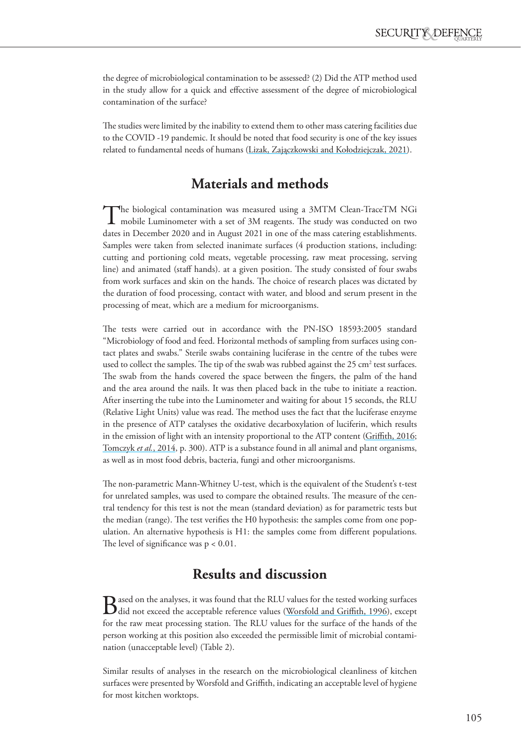the degree of microbiological contamination to be assessed? (2) Did the ATP method used in the study allow for a quick and effective assessment of the degree of microbiological contamination of the surface?

The studies were limited by the inability to extend them to other mass catering facilities due to the COVID -19 pandemic. It should be noted that food security is one of the key issues related to fundamental needs of humans (Lizak, Zajączkowski and Kołodziejczak, 2021).

## **Materials and methods**

The biological contamination was measured using a 3MTM Clean-TraceTM NGi<br>mobile Luminometer with a set of 3M reagents. The study was conducted on two<br>high a conducted on two studies in the study of the study of the study i dates in December 2020 and in August 2021 in one of the mass catering establishments. Samples were taken from selected inanimate surfaces (4 production stations, including: cutting and portioning cold meats, vegetable processing, raw meat processing, serving line) and animated (staff hands). at a given position. The study consisted of four swabs from work surfaces and skin on the hands. The choice of research places was dictated by the duration of food processing, contact with water, and blood and serum present in the processing of meat, which are a medium for microorganisms.

The tests were carried out in accordance with the PN-ISO 18593:2005 standard "Microbiology of food and feed. Horizontal methods of sampling from surfaces using contact plates and swabs." Sterile swabs containing luciferase in the centre of the tubes were used to collect the samples. The tip of the swab was rubbed against the 25  $\text{cm}^2$  test surfaces. The swab from the hands covered the space between the fingers, the palm of the hand and the area around the nails. It was then placed back in the tube to initiate a reaction. After inserting the tube into the Luminometer and waiting for about 15 seconds, the RLU (Relative Light Units) value was read. The method uses the fact that the luciferase enzyme in the presence of ATP catalyses the oxidative decarboxylation of luciferin, which results in the emission of light with an intensity proportional to the ATP content [\(Griffith, 2016](#page-4-2); Tomczyk *et al.*, 2014, p. 300). ATP is a substance found in all animal and plant organisms, as well as in most food debris, bacteria, fungi and other microorganisms.

The non-parametric Mann-Whitney U-test, which is the equivalent of the Student's t-test for unrelated samples, was used to compare the obtained results. The measure of the central tendency for this test is not the mean (standard deviation) as for parametric tests but the median (range). The test verifies the H0 hypothesis: the samples come from one population. An alternative hypothesis is H1: the samples come from different populations. The level of significance was  $p < 0.01$ .

# **Results and discussion**

**B** ased on the analyses, it was found that the RLU values for the tested working surfaces did not exceed the acceptable reference values (Worsfold and Griffith, 1996), except for the raw meat processing station. The RLU values for the surface of the hands of the person working at this position also exceeded the permissible limit of microbial contamination (unacceptable level) (Table 2).

Similar results of analyses in the research on the microbiological cleanliness of kitchen surfaces were presented by Worsfold and Griffith, indicating an acceptable level of hygiene for most kitchen worktops.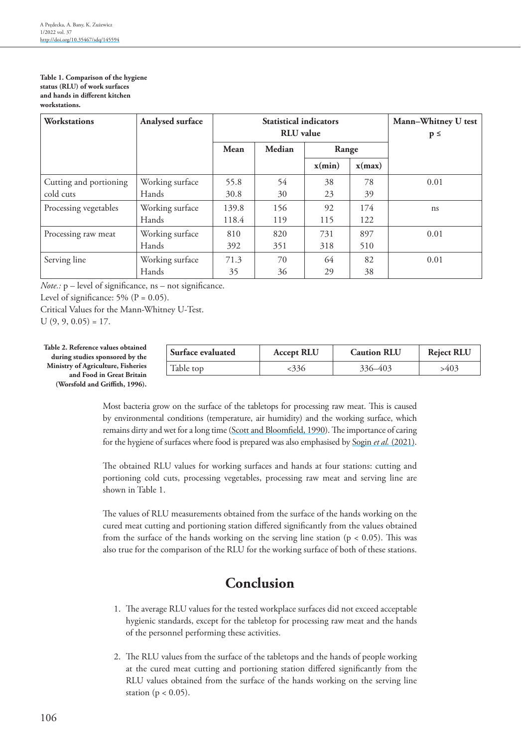**Table 1. Comparison of the hygiene status (RLU) of work surfaces and hands in different kitchen workstations.**

| Workstations           | Analysed surface | <b>Statistical indicators</b><br><b>RLU</b> value |        |        |        | Mann-Whitney U test<br>$p \leq$ |
|------------------------|------------------|---------------------------------------------------|--------|--------|--------|---------------------------------|
|                        |                  | Mean                                              | Median | Range  |        |                                 |
|                        |                  |                                                   |        | x(min) | x(max) |                                 |
| Cutting and portioning | Working surface  | 55.8                                              | 54     | 38     | 78     | 0.01                            |
| cold cuts              | Hands            | 30.8                                              | 30     | 23     | 39     |                                 |
| Processing vegetables  | Working surface  | 139.8                                             | 156    | 92     | 174    | ns                              |
|                        | Hands            | 118.4                                             | 119    | 115    | 122    |                                 |
| Processing raw meat    | Working surface  | 810                                               | 820    | 731    | 897    | 0.01                            |
|                        | Hands            | 392                                               | 351    | 318    | 510    |                                 |
| Serving line           | Working surface  | 71.3                                              | 70     | 64     | 82     | 0.01                            |
|                        | Hands            | 35                                                | 36     | 29     | 38     |                                 |

*Note.:* p – level of significance, ns – not significance.

Level of significance:  $5\%$  (P = 0.05).

Critical Values for the Mann-Whitney U-Test.

 $U(9, 9, 0.05) = 17.$ 

| Table 2. Reference values obtained        |
|-------------------------------------------|
| during studies sponsored by the           |
| <b>Ministry of Agriculture, Fisheries</b> |
| and Food in Great Britain                 |
| (Worsfold and Griffith, 1996).            |
|                                           |

| <b>Surface evaluated</b> | <b>Accept RLU</b> | <b>Caution RLU</b> | <b>Reject RLU</b> |
|--------------------------|-------------------|--------------------|-------------------|
| Table top                | <336              | 336-403            | >403              |

Most bacteria grow on the surface of the tabletops for processing raw meat. This is caused by environmental conditions (temperature, air humidity) and the working surface, which remains dirty and wet for a long time [\(Scott and Bloomfield, 1990\)](#page-5-0). The importance of caring for the hygiene of surfaces where food is prepared was also emphasised by Sogin *et al.* (2021).

The obtained RLU values for working surfaces and hands at four stations: cutting and portioning cold cuts, processing vegetables, processing raw meat and serving line are shown in Table 1.

The values of RLU measurements obtained from the surface of the hands working on the cured meat cutting and portioning station differed significantly from the values obtained from the surface of the hands working on the serving line station  $(p < 0.05)$ . This was also true for the comparison of the RLU for the working surface of both of these stations.

# **Conclusion**

- 1. The average RLU values for the tested workplace surfaces did not exceed acceptable hygienic standards, except for the tabletop for processing raw meat and the hands of the personnel performing these activities.
- 2. The RLU values from the surface of the tabletops and the hands of people working at the cured meat cutting and portioning station differed significantly from the RLU values obtained from the surface of the hands working on the serving line station ( $p < 0.05$ ).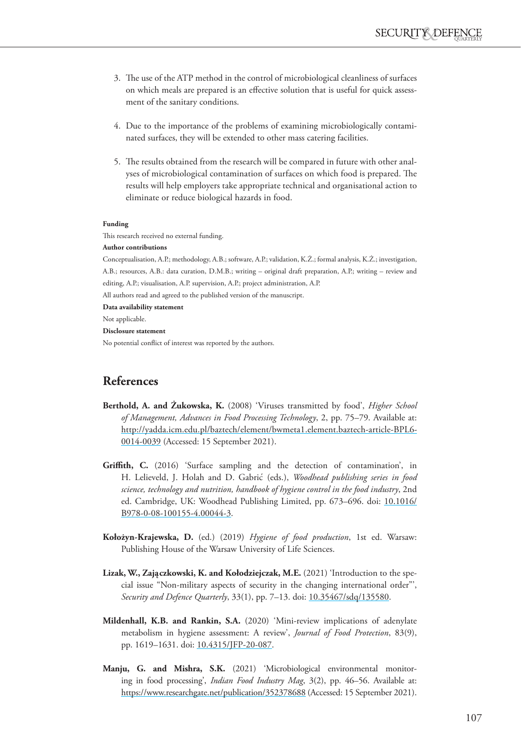- 3. The use of the ATP method in the control of microbiological cleanliness of surfaces on which meals are prepared is an effective solution that is useful for quick assessment of the sanitary conditions.
- 4. Due to the importance of the problems of examining microbiologically contaminated surfaces, they will be extended to other mass catering facilities.
- 5. The results obtained from the research will be compared in future with other analyses of microbiological contamination of surfaces on which food is prepared. The results will help employers take appropriate technical and organisational action to eliminate or reduce biological hazards in food.

### **Funding**

This research received no external funding.

### **Author contributions**

Conceptualisation, A.P.; methodology, A.B.; software, A.P.; validation, K.Ż.; formal analysis, K.Ż.; investigation, A.B.; resources, A.B.: data curation, D.M.B.; writing – original draft preparation, A.P.; writing – review and editing, A.P.; visualisation, A.P. supervision, A.P.; project administration, A.P.

All authors read and agreed to the published version of the manuscript.

**Data availability statement**

Not applicable.

### **Disclosure statement**

No potential conflict of interest was reported by the authors.

### **References**

- **Berthold, A. and Żukowska, K.** (2008) 'Viruses transmitted by food', *Higher School of Management, Advances in Food Processing Technology*, 2, pp. 75–79. Available at: [http://yadda.icm.edu.pl/baztech/element/bwmeta1.element.baztech-article-BPL6-](http://yadda.icm.edu.pl/baztech/element/bwmeta1.element.baztech-article-BPL6-0014-0039) [0014-0039](http://yadda.icm.edu.pl/baztech/element/bwmeta1.element.baztech-article-BPL6-0014-0039) (Accessed: 15 September 2021).
- <span id="page-4-2"></span>**Griffith, C.** (2016) 'Surface sampling and the detection of contamination', in H. Lelieveld, J. Holah and D. Gabric´ (eds.), *Woodhead publishing series in food science, technology and nutrition, handbook of hygiene control in the food industry*, 2nd ed. Cambridge, UK: Woodhead Publishing Limited, pp. 673–696. doi: [10.1016/](http://doi.org/10.1016/B978-0-08-100155-4.00044-3) [B978-0-08-100155-4.00044-3.](http://doi.org/10.1016/B978-0-08-100155-4.00044-3)
- **Kołożyn-Krajewska, D.** (ed.) (2019) *Hygiene of food production*, 1st ed. Warsaw: Publishing House of the Warsaw University of Life Sciences.
- Lizak, W., Zajączkowski, K. and Kołodziejczak, M.E. (2021) 'Introduction to the special issue "Non-military aspects of security in the changing international order"', *Security and Defence Quarterly*, 33(1), pp. 7–13. doi: [10.35467/sdq/135580.](http://doi.org/10.35467/sdq/135580)
- <span id="page-4-1"></span>**Mildenhall, K.B. and Rankin, S.A.** (2020) 'Mini-review implications of adenylate metabolism in hygiene assessment: A review', *Journal of Food Protection*, 83(9), pp. 1619–1631. doi: [10.4315/JFP-20-087.](http://doi.org/10.4315/JFP-20-087)
- <span id="page-4-0"></span>**Manju, G. and Mishra, S.K.** (2021) 'Microbiological environmental monitoring in food processing', *Indian Food Industry Mag*, 3(2), pp. 46–56. Available at: <https://www.researchgate.net/publication/352378688>(Accessed: 15 September 2021).